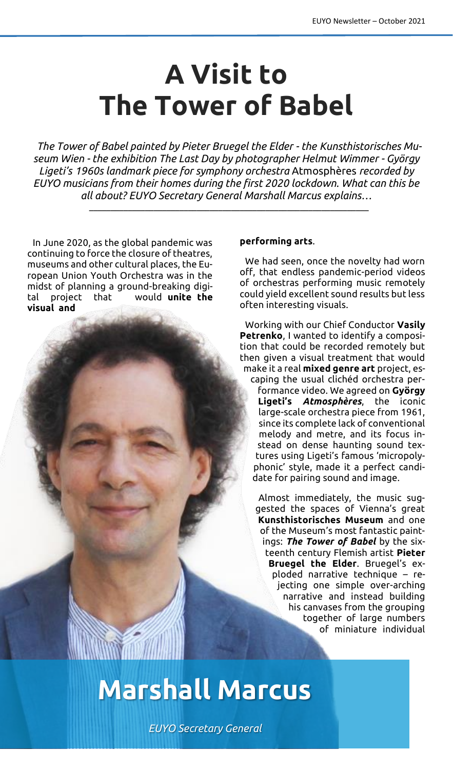## **A Visit to The Tower of Babel**

*The Tower of Babel painted by Pieter Bruegel the Elder - the Kunsthistorisches Museum Wien - the exhibition The Last Day by photographer Helmut Wimmer - György Ligeti's 1960s landmark piece for symphony orchestra* Atmosphères *recorded by EUYO musicians from their homes during the first 2020 lockdown. What can this be all about? EUYO Secretary General Marshall Marcus explains…*

\_\_\_\_\_\_\_\_\_\_\_\_\_\_\_\_\_\_\_\_\_\_\_\_\_\_\_\_\_\_\_\_\_\_\_\_\_\_\_\_\_\_\_\_\_\_\_\_\_\_\_\_\_\_\_\_\_\_\_\_\_\_\_\_\_

In June 2020, as the global pandemic was continuing to force the closure of theatres, museums and other cultural places, the European Union Youth Orchestra was in the midst of planning a ground-breaking digital project that would **unite the visual and** 

## **performing arts**.

We had seen, once the novelty had worn off, that endless pandemic-period videos of orchestras performing music remotely could yield excellent sound results but less often interesting visuals.

Working with our Chief Conductor **Vasily Petrenko**, I wanted to identify a composition that could be recorded remotely but then given a visual treatment that would make it a real **mixed genre art** project, escaping the usual clichéd orchestra performance video. We agreed on **György Ligeti's** *Atmosphères*, the iconic large-scale orchestra piece from 1961, since its complete lack of conventional melody and metre, and its focus instead on dense haunting sound textures using Ligeti's famous 'micropolyphonic' style, made it a perfect candidate for pairing sound and image.

Almost immediately, the music suggested the spaces of Vienna's great **Kunsthistorisches Museum** and one of the Museum's most fantastic paintings: *The Tower of Babel* by the sixteenth century Flemish artist **Pieter Bruegel the Elder**. Bruegel's exploded narrative technique – rejecting one simple over-arching narrative and instead building his canvases from the grouping together of large numbers of miniature individual

**Marshall Marcus**

*EUYO Secretary General*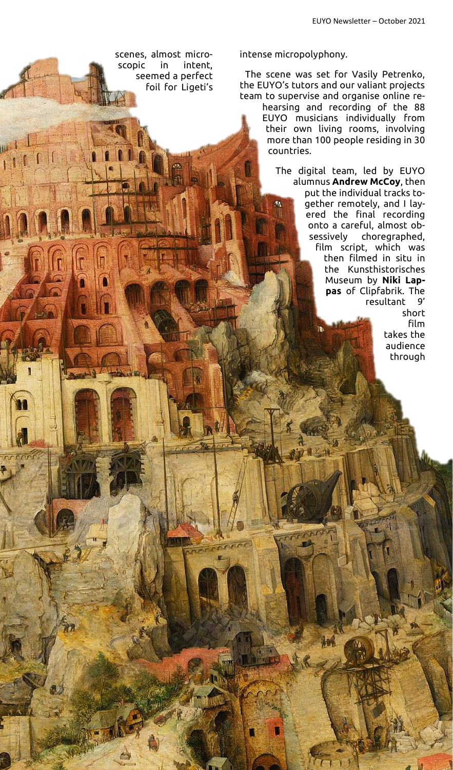scenes, almost microscopic in intent, seemed a perfect foil for Ligeti's intense micropolyphony.

The scene was set for Vasily Petrenko, the EUYO's tutors and our valiant projects team to supervise and organise online re-

> hearsing and recording of the 88 EUYO musicians individually from their own living rooms, involving more than 100 people residing in 30 countries.

The digital team, led by EUYO alumnus **Andrew McCoy**, then put the individual tracks together remotely, and I layered the final recording onto a careful, almost obsessively choregraphed, film script, which was then filmed in situ in the Kunsthistorisches Museum by **Niki Lappas** of Clipfabrik. The resultant 9'

> short film takes the audience through